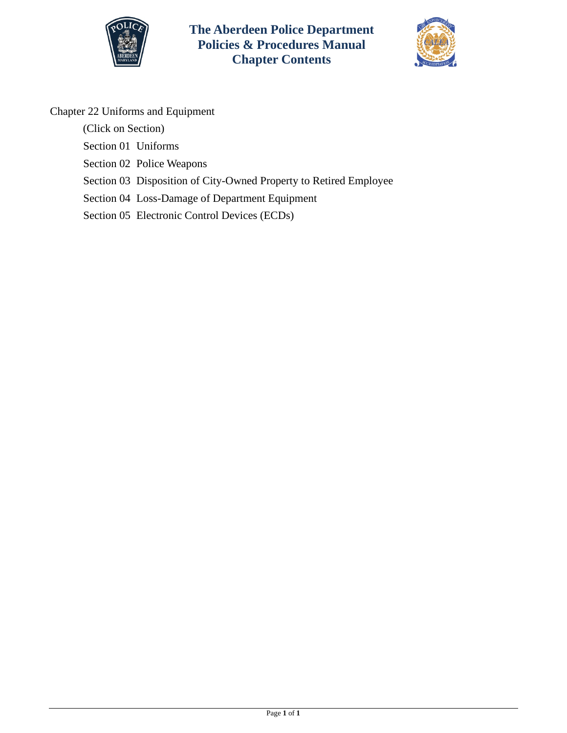



# Chapter 22 Uniforms and Equipment

(Click on Section)

- [Section 01 Uniforms](#page-1-0)
- [Section 02 Police Weapons](#page-7-0)
- [Section 03 Disposition of City-Owned Property](#page-12-0) to Retired Employee
- [Section 04 Loss-Damage of Department Equipment](#page-13-0)
- [Section 05 Electronic Control Devices \(ECDs\)](#page-16-0)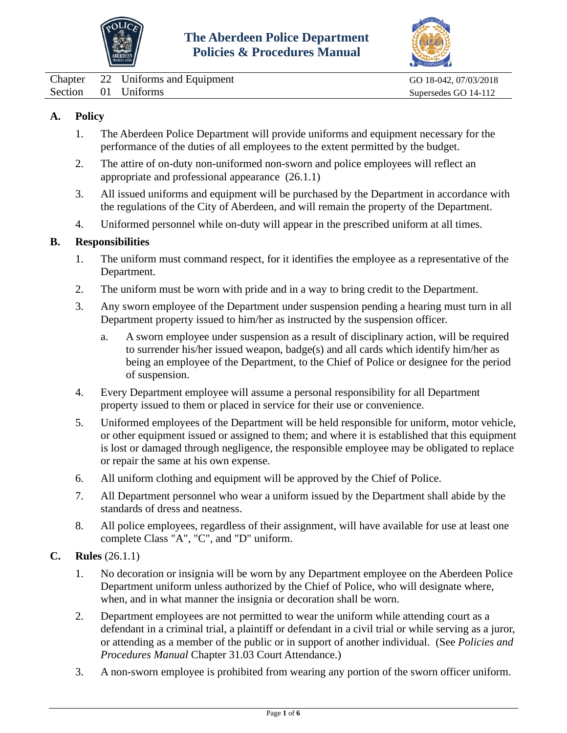



<span id="page-1-0"></span>

|  | Chapter 22 Uniforms and Equipment | GO 18-042, 07/03/2018 |
|--|-----------------------------------|-----------------------|
|  | Section 01 Uniforms               | Supersedes GO 14-112  |

## **A. Policy**

- 1. The Aberdeen Police Department will provide uniforms and equipment necessary for the performance of the duties of all employees to the extent permitted by the budget.
- 2. The attire of on-duty non-uniformed non-sworn and police employees will reflect an appropriate and professional appearance (26.1.1)
- 3. All issued uniforms and equipment will be purchased by the Department in accordance with the regulations of the City of Aberdeen, and will remain the property of the Department.
- 4. Uniformed personnel while on-duty will appear in the prescribed uniform at all times.

#### **B. Responsibilities**

- 1. The uniform must command respect, for it identifies the employee as a representative of the Department.
- 2. The uniform must be worn with pride and in a way to bring credit to the Department.
- 3. Any sworn employee of the Department under suspension pending a hearing must turn in all Department property issued to him/her as instructed by the suspension officer.
	- a. A sworn employee under suspension as a result of disciplinary action, will be required to surrender his/her issued weapon, badge(s) and all cards which identify him/her as being an employee of the Department, to the Chief of Police or designee for the period of suspension.
- 4. Every Department employee will assume a personal responsibility for all Department property issued to them or placed in service for their use or convenience.
- 5. Uniformed employees of the Department will be held responsible for uniform, motor vehicle, or other equipment issued or assigned to them; and where it is established that this equipment is lost or damaged through negligence, the responsible employee may be obligated to replace or repair the same at his own expense.
- 6. All uniform clothing and equipment will be approved by the Chief of Police.
- 7. All Department personnel who wear a uniform issued by the Department shall abide by the standards of dress and neatness.
- 8. All police employees, regardless of their assignment, will have available for use at least one complete Class "A", "C", and "D" uniform.
- **C. Rules** (26.1.1)
	- 1. No decoration or insignia will be worn by any Department employee on the Aberdeen Police Department uniform unless authorized by the Chief of Police, who will designate where, when, and in what manner the insignia or decoration shall be worn.
	- 2. Department employees are not permitted to wear the uniform while attending court as a defendant in a criminal trial, a plaintiff or defendant in a civil trial or while serving as a juror, or attending as a member of the public or in support of another individual. (See *Policies and Procedures Manual* Chapter 31.03 Court Attendance.)
	- 3. A non-sworn employee is prohibited from wearing any portion of the sworn officer uniform.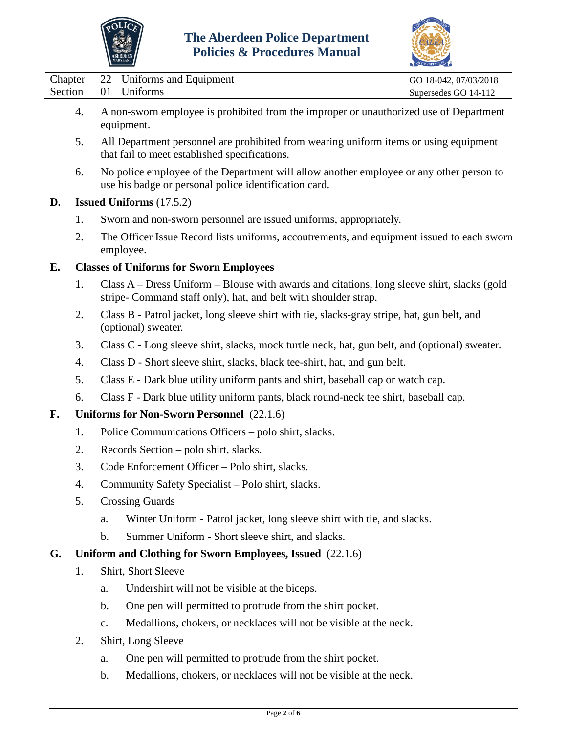



|  | Chapter 22 Uniforms and Equipment | GO 18-042, 07/03/2018 |
|--|-----------------------------------|-----------------------|
|  | Section 01 Uniforms               | Supersedes GO 14-112  |
|  |                                   |                       |

- 4. A non-sworn employee is prohibited from the improper or unauthorized use of Department equipment.
- 5. All Department personnel are prohibited from wearing uniform items or using equipment that fail to meet established specifications.
- 6. No police employee of the Department will allow another employee or any other person to use his badge or personal police identification card.

# **D. Issued Uniforms** (17.5.2)

- 1. Sworn and non-sworn personnel are issued uniforms, appropriately.
- 2. The Officer Issue Record lists uniforms, accoutrements, and equipment issued to each sworn employee.

# **E. Classes of Uniforms for Sworn Employees**

- 1. Class A Dress Uniform Blouse with awards and citations, long sleeve shirt, slacks (gold stripe- Command staff only), hat, and belt with shoulder strap.
- 2. Class B Patrol jacket, long sleeve shirt with tie, slacks-gray stripe, hat, gun belt, and (optional) sweater.
- 3. Class C Long sleeve shirt, slacks, mock turtle neck, hat, gun belt, and (optional) sweater.
- 4. Class D Short sleeve shirt, slacks, black tee-shirt, hat, and gun belt.
- 5. Class E Dark blue utility uniform pants and shirt, baseball cap or watch cap.
- 6. Class F Dark blue utility uniform pants, black round-neck tee shirt, baseball cap.

# **F. Uniforms for Non-Sworn Personnel** (22.1.6)

- 1. Police Communications Officers polo shirt, slacks.
- 2. Records Section polo shirt, slacks.
- 3. Code Enforcement Officer Polo shirt, slacks.
- 4. Community Safety Specialist Polo shirt, slacks.
- 5. Crossing Guards
	- a. Winter Uniform Patrol jacket, long sleeve shirt with tie, and slacks.
	- b. Summer Uniform Short sleeve shirt, and slacks.

### **G. Uniform and Clothing for Sworn Employees, Issued** (22.1.6)

- 1. Shirt, Short Sleeve
	- a. Undershirt will not be visible at the biceps.
	- b. One pen will permitted to protrude from the shirt pocket.
	- c. Medallions, chokers, or necklaces will not be visible at the neck.
- 2. Shirt, Long Sleeve
	- a. One pen will permitted to protrude from the shirt pocket.
	- b. Medallions, chokers, or necklaces will not be visible at the neck.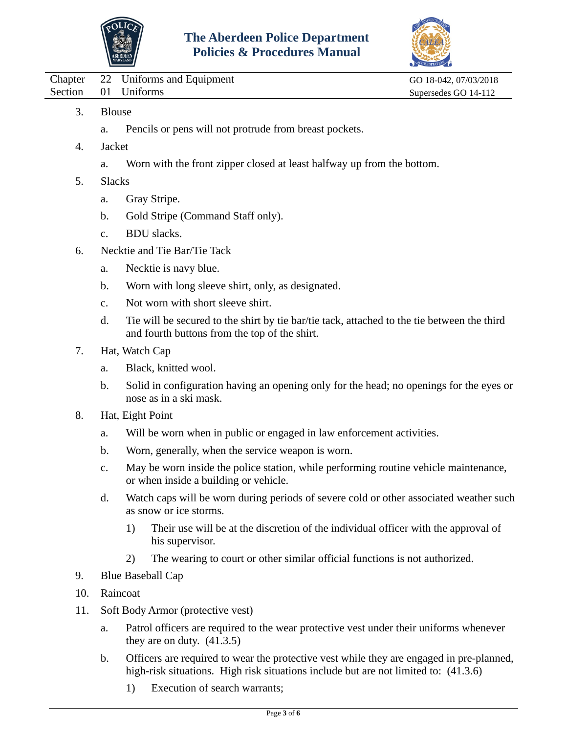



|         |               | Chapter 22 Uniforms and Equipment                      | GO 18-042, 07/03/2018 |  |  |
|---------|---------------|--------------------------------------------------------|-----------------------|--|--|
| Section |               | 01 Uniforms                                            | Supersedes GO 14-112  |  |  |
| 3.      | <b>Blouse</b> |                                                        |                       |  |  |
|         | a.            | Pencils or pens will not protrude from breast pockets. |                       |  |  |

- 4. Jacket
	- a. Worn with the front zipper closed at least halfway up from the bottom.
- 5. Slacks
	- a. Gray Stripe.
	- b. Gold Stripe (Command Staff only).
	- c. BDU slacks.
- 6. Necktie and Tie Bar/Tie Tack
	- a. Necktie is navy blue.
	- b. Worn with long sleeve shirt, only, as designated.
	- c. Not worn with short sleeve shirt.
	- d. Tie will be secured to the shirt by tie bar/tie tack, attached to the tie between the third and fourth buttons from the top of the shirt.
- 7. Hat, Watch Cap
	- a. Black, knitted wool.
	- b. Solid in configuration having an opening only for the head; no openings for the eyes or nose as in a ski mask.
- 8. Hat, Eight Point
	- a. Will be worn when in public or engaged in law enforcement activities.
	- b. Worn, generally, when the service weapon is worn.
	- c. May be worn inside the police station, while performing routine vehicle maintenance, or when inside a building or vehicle.
	- d. Watch caps will be worn during periods of severe cold or other associated weather such as snow or ice storms.
		- 1) Their use will be at the discretion of the individual officer with the approval of his supervisor.
		- 2) The wearing to court or other similar official functions is not authorized.
- 9. Blue Baseball Cap
- 10. Raincoat
- 11. Soft Body Armor (protective vest)
	- a. Patrol officers are required to the wear protective vest under their uniforms whenever they are on duty.  $(41.3.5)$
	- b. Officers are required to wear the protective vest while they are engaged in pre-planned, high-risk situations. High risk situations include but are not limited to:  $(41.3.6)$ 
		- 1) Execution of search warrants;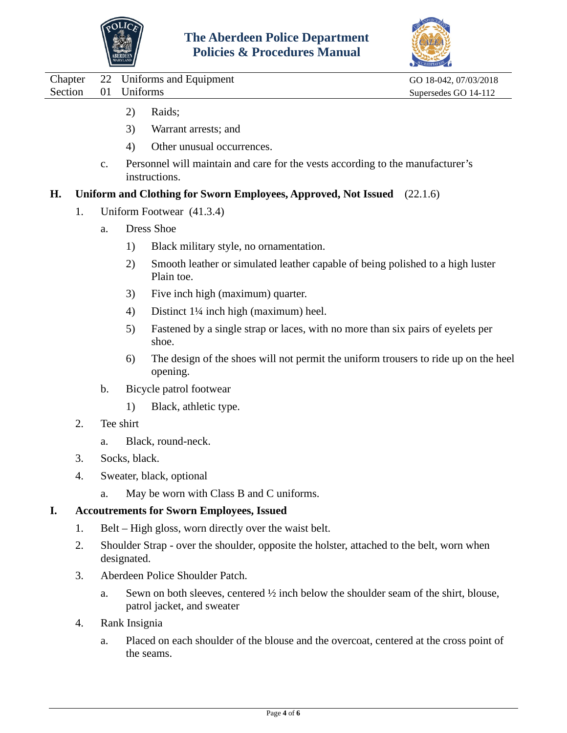



|         |         |    | <b>BERDEE</b> | <b>Policies &amp; Procedures Manual</b>                                                                                       |                       |
|---------|---------|----|---------------|-------------------------------------------------------------------------------------------------------------------------------|-----------------------|
|         | Chapter | 22 |               | Uniforms and Equipment                                                                                                        | GO 18-042, 07/03/2018 |
| Section |         | 01 | Uniforms      |                                                                                                                               | Supersedes GO 14-112  |
|         |         |    | 2)            | Raids;                                                                                                                        |                       |
|         |         |    | 3)            | Warrant arrests; and                                                                                                          |                       |
|         |         |    | 4)            | Other unusual occurrences.                                                                                                    |                       |
|         |         | c. |               | Personnel will maintain and care for the vests according to the manufacturer's<br>instructions.                               |                       |
| Н.      |         |    |               | Uniform and Clothing for Sworn Employees, Approved, Not Issued (22.1.6)                                                       |                       |
|         | 1.      |    |               | Uniform Footwear (41.3.4)                                                                                                     |                       |
|         |         | a. |               | <b>Dress Shoe</b>                                                                                                             |                       |
|         |         |    | 1)            | Black military style, no ornamentation.                                                                                       |                       |
|         |         |    | 2)            | Smooth leather or simulated leather capable of being polished to a high luster<br>Plain toe.                                  |                       |
|         |         |    | 3)            | Five inch high (maximum) quarter.                                                                                             |                       |
|         |         |    | 4)            | Distinct 11/4 inch high (maximum) heel.                                                                                       |                       |
|         |         |    | 5)            | Fastened by a single strap or laces, with no more than six pairs of eyelets per<br>shoe.                                      |                       |
|         |         |    | 6)            | The design of the shoes will not permit the uniform trousers to ride up on the heel<br>opening.                               |                       |
|         |         | b. |               | Bicycle patrol footwear                                                                                                       |                       |
|         |         |    | 1)            | Black, athletic type.                                                                                                         |                       |
|         | 2.      |    | Tee shirt     |                                                                                                                               |                       |
|         |         | a. |               | Black, round-neck.                                                                                                            |                       |
|         | 3.      |    | Socks, black. |                                                                                                                               |                       |
|         | 4.      |    |               | Sweater, black, optional                                                                                                      |                       |
|         |         | a. |               | May be worn with Class B and C uniforms.                                                                                      |                       |
| I.      |         |    |               | <b>Accoutrements for Sworn Employees, Issued</b>                                                                              |                       |
|         | 1.      |    |               | Belt – High gloss, worn directly over the waist belt.                                                                         |                       |
|         | 2.      |    | designated.   | Shoulder Strap - over the shoulder, opposite the holster, attached to the belt, worn when                                     |                       |
|         | 3.      |    |               | Aberdeen Police Shoulder Patch.                                                                                               |                       |
|         |         | a. |               | Sewn on both sleeves, centered $\frac{1}{2}$ inch below the shoulder seam of the shirt, blouse,<br>patrol jacket, and sweater |                       |
|         | 4.      |    | Rank Insignia |                                                                                                                               |                       |
|         |         |    |               |                                                                                                                               |                       |

a. Placed on each shoulder of the blouse and the overcoat, centered at the cross point of the seams.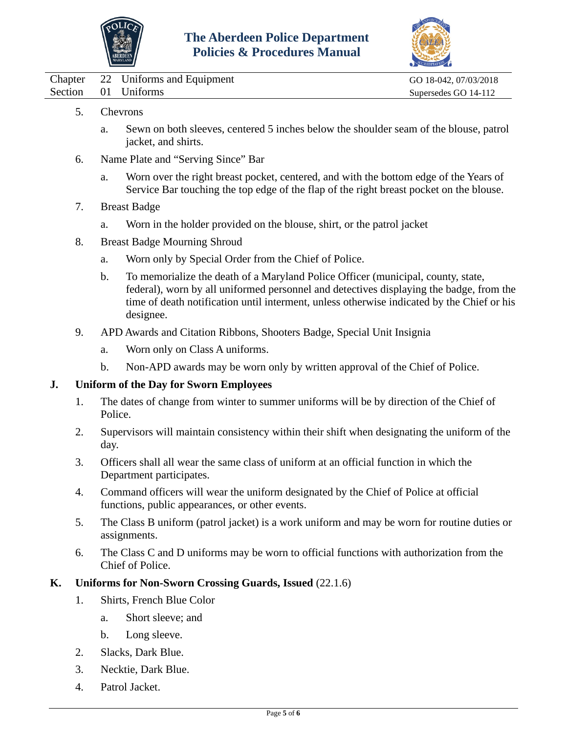



|  | Chapter 22 Uniforms and Equipment | GO 18-042, 07/03/2018 |
|--|-----------------------------------|-----------------------|
|  | Section 01 Uniforms               | Supersedes GO 14-112  |

- 5. Chevrons
	- a. Sewn on both sleeves, centered 5 inches below the shoulder seam of the blouse, patrol jacket, and shirts.
- 6. Name Plate and "Serving Since" Bar
	- a. Worn over the right breast pocket, centered, and with the bottom edge of the Years of Service Bar touching the top edge of the flap of the right breast pocket on the blouse.
- 7. Breast Badge
	- a. Worn in the holder provided on the blouse, shirt, or the patrol jacket
- 8. Breast Badge Mourning Shroud
	- a. Worn only by Special Order from the Chief of Police.
	- b. To memorialize the death of a Maryland Police Officer (municipal, county, state, federal), worn by all uniformed personnel and detectives displaying the badge, from the time of death notification until interment, unless otherwise indicated by the Chief or his designee.
- 9. APD Awards and Citation Ribbons, Shooters Badge, Special Unit Insignia
	- a. Worn only on Class A uniforms.
	- b. Non-APD awards may be worn only by written approval of the Chief of Police.

# **J. Uniform of the Day for Sworn Employees**

- 1. The dates of change from winter to summer uniforms will be by direction of the Chief of Police.
- 2. Supervisors will maintain consistency within their shift when designating the uniform of the day.
- 3. Officers shall all wear the same class of uniform at an official function in which the Department participates.
- 4. Command officers will wear the uniform designated by the Chief of Police at official functions, public appearances, or other events.
- 5. The Class B uniform (patrol jacket) is a work uniform and may be worn for routine duties or assignments.
- 6. The Class C and D uniforms may be worn to official functions with authorization from the Chief of Police.

### **K. Uniforms for Non-Sworn Crossing Guards, Issued** (22.1.6)

- 1. Shirts, French Blue Color
	- a. Short sleeve; and
	- b. Long sleeve.
- 2. Slacks, Dark Blue.
- 3. Necktie, Dark Blue.
- 4. Patrol Jacket.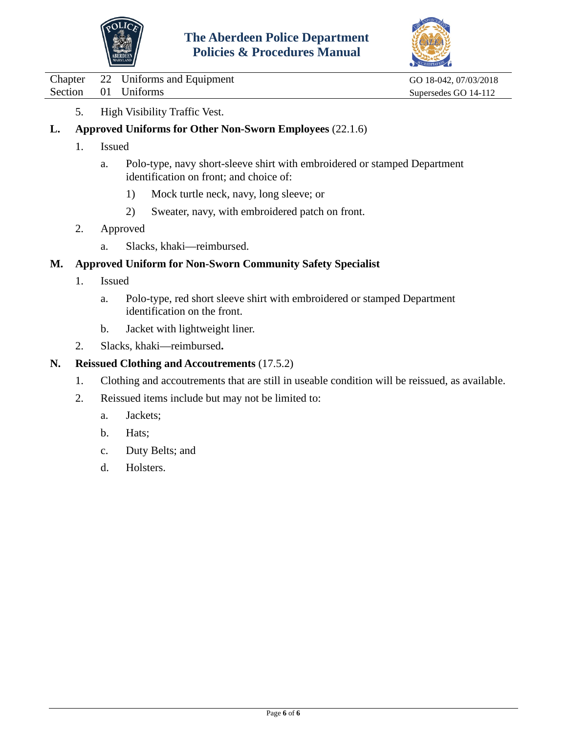



Chapter 22 Uniforms and Equipment GO 18-042, 07/03/2018 Section 01 Uniforms Supersedes GO 14-112

- 5. High Visibility Traffic Vest.
- **L. Approved Uniforms for Other Non-Sworn Employees** (22.1.6)
	- 1. Issued
		- a. Polo-type, navy short-sleeve shirt with embroidered or stamped Department identification on front; and choice of:
			- 1) Mock turtle neck, navy, long sleeve; or
			- 2) Sweater, navy, with embroidered patch on front.
	- 2. Approved
		- a. Slacks, khaki—reimbursed.

## **M. Approved Uniform for Non-Sworn Community Safety Specialist**

- 1. Issued
	- a. Polo-type, red short sleeve shirt with embroidered or stamped Department identification on the front.
	- b. Jacket with lightweight liner.
- 2. Slacks, khaki—reimbursed**.**

## **N. Reissued Clothing and Accoutrements** (17.5.2)

- 1. Clothing and accoutrements that are still in useable condition will be reissued, as available.
- 2. Reissued items include but may not be limited to:
	- a. Jackets;
	- b. Hats;
	- c. Duty Belts; and
	- d. Holsters.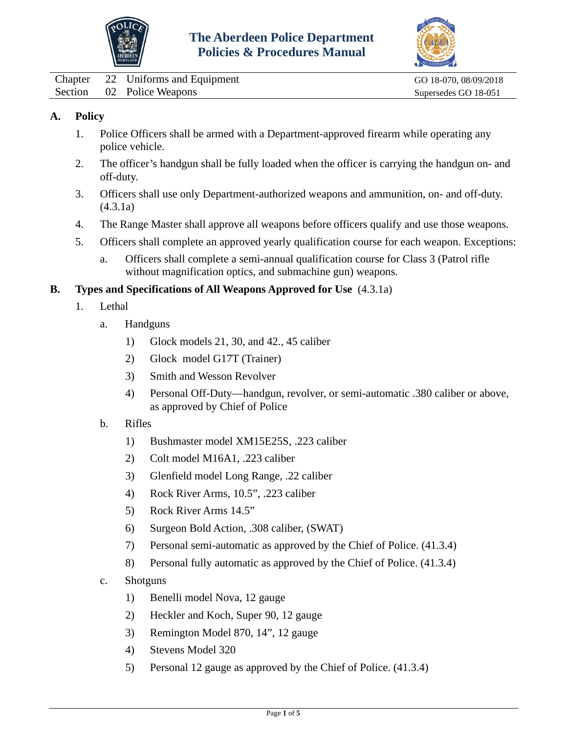



<span id="page-7-0"></span>Chapter 22 Uniforms and Equipment GO 18-070, 08/09/2018 Section 02 Police Weapons Supersedes GO 18-051

# **A. Policy**

- 1. Police Officers shall be armed with a Department-approved firearm while operating any police vehicle.
- 2. The officer's handgun shall be fully loaded when the officer is carrying the handgun on- and off-duty.
- 3. Officers shall use only Department-authorized weapons and ammunition, on- and off-duty. (4.3.1a)
- 4. The Range Master shall approve all weapons before officers qualify and use those weapons.
- 5. Officers shall complete an approved yearly qualification course for each weapon. Exceptions:
	- a. Officers shall complete a semi-annual qualification course for Class 3 (Patrol rifle without magnification optics, and submachine gun) weapons.

#### **B. Types and Specifications of All Weapons Approved for Use** (4.3.1a)

- 1. Lethal
	- a. Handguns
		- 1) Glock models 21, 30, and 42., 45 caliber
		- 2) Glock model G17T (Trainer)
		- 3) Smith and Wesson Revolver
		- 4) Personal Off-Duty—handgun, revolver, or semi-automatic .380 caliber or above, as approved by Chief of Police
	- b. Rifles
		- 1) Bushmaster model XM15E25S, .223 caliber
		- 2) Colt model M16A1, .223 caliber
		- 3) Glenfield model Long Range, .22 caliber
		- 4) Rock River Arms, 10.5", .223 caliber
		- 5) Rock River Arms 14.5"
		- 6) Surgeon Bold Action, .308 caliber, (SWAT)
		- 7) Personal semi-automatic as approved by the Chief of Police. (41.3.4)
		- 8) Personal fully automatic as approved by the Chief of Police. (41.3.4)
	- c. Shotguns
		- 1) Benelli model Nova, 12 gauge
		- 2) Heckler and Koch, Super 90, 12 gauge
		- 3) Remington Model 870, 14", 12 gauge
		- 4) Stevens Model 320
		- 5) Personal 12 gauge as approved by the Chief of Police. (41.3.4)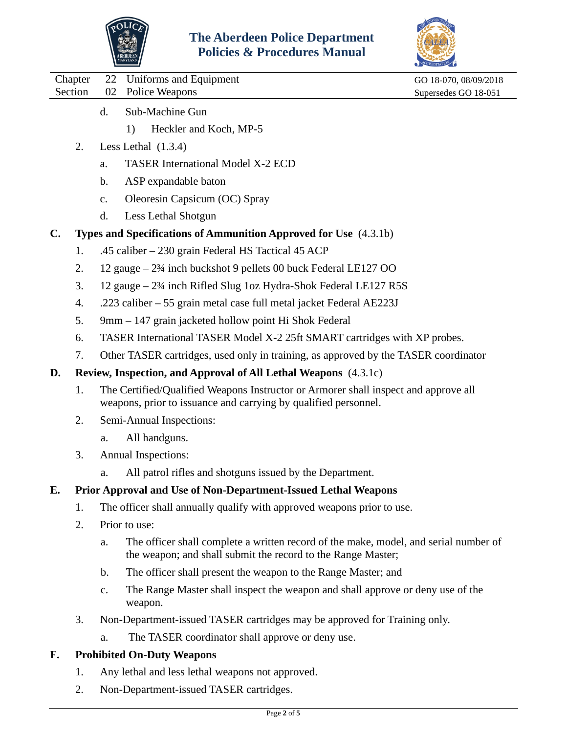



|  | Chapter 22 Uniforms and Equipment |
|--|-----------------------------------|
|  | Section 02 Police Weapons         |

GO 18-070, 08/09/2018 Supersedes GO 18-051

- d. Sub-Machine Gun
	- 1) Heckler and Koch, MP-5
- 2. Less Lethal (1.3.4)
	- a. TASER International Model X-2 ECD
	- b. ASP expandable baton
	- c. Oleoresin Capsicum (OC) Spray
	- d. Less Lethal Shotgun

# **C. Types and Specifications of Ammunition Approved for Use** (4.3.1b)

- 1. .45 caliber 230 grain Federal HS Tactical 45 ACP
- 2. 12 gauge 2¾ inch buckshot 9 pellets 00 buck Federal LE127 OO
- 3. 12 gauge 2¾ inch Rifled Slug 1oz Hydra-Shok Federal LE127 R5S
- 4. .223 caliber 55 grain metal case full metal jacket Federal AE223J
- 5. 9mm 147 grain jacketed hollow point Hi Shok Federal
- 6. TASER International TASER Model X-2 25ft SMART cartridges with XP probes.
- 7. Other TASER cartridges, used only in training, as approved by the TASER coordinator

### **D. Review, Inspection, and Approval of All Lethal Weapons** (4.3.1c)

- 1. The Certified/Qualified Weapons Instructor or Armorer shall inspect and approve all weapons, prior to issuance and carrying by qualified personnel.
- 2. Semi-Annual Inspections:
	- a. All handguns.
- 3. Annual Inspections:
	- a. All patrol rifles and shotguns issued by the Department.

# **E. Prior Approval and Use of Non-Department-Issued Lethal Weapons**

- 1. The officer shall annually qualify with approved weapons prior to use.
- 2. Prior to use:
	- a. The officer shall complete a written record of the make, model, and serial number of the weapon; and shall submit the record to the Range Master;
	- b. The officer shall present the weapon to the Range Master; and
	- c. The Range Master shall inspect the weapon and shall approve or deny use of the weapon.
- 3. Non-Department-issued TASER cartridges may be approved for Training only.
	- a. The TASER coordinator shall approve or deny use.

# **F. Prohibited On-Duty Weapons**

- 1. Any lethal and less lethal weapons not approved.
- 2. Non-Department-issued TASER cartridges.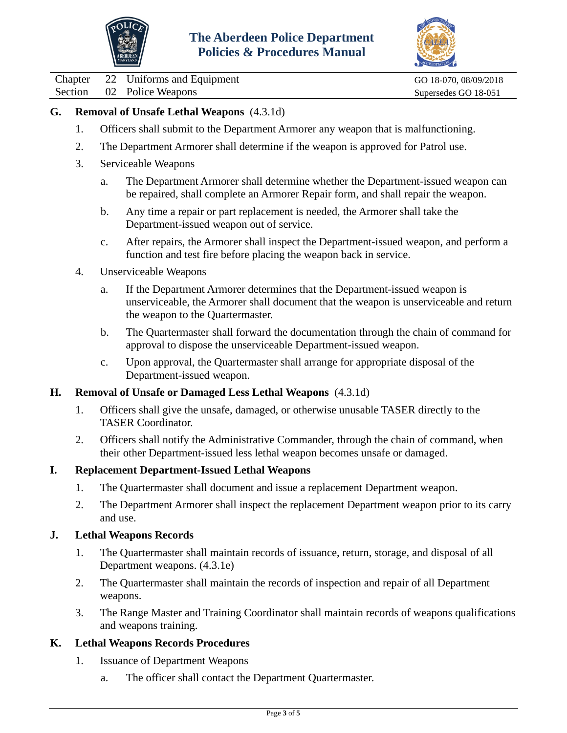



Chapter 22 Uniforms and Equipment GO 18-070, 08/09/2018

Section 02 Police Weapons Supersedes GO 18-051

# **G. Removal of Unsafe Lethal Weapons** (4.3.1d)

- 1. Officers shall submit to the Department Armorer any weapon that is malfunctioning.
- 2. The Department Armorer shall determine if the weapon is approved for Patrol use.
- 3. Serviceable Weapons
	- a. The Department Armorer shall determine whether the Department-issued weapon can be repaired, shall complete an Armorer Repair form, and shall repair the weapon.
	- b. Any time a repair or part replacement is needed, the Armorer shall take the Department-issued weapon out of service.
	- c. After repairs, the Armorer shall inspect the Department-issued weapon, and perform a function and test fire before placing the weapon back in service.
- 4. Unserviceable Weapons
	- a. If the Department Armorer determines that the Department-issued weapon is unserviceable, the Armorer shall document that the weapon is unserviceable and return the weapon to the Quartermaster.
	- b. The Quartermaster shall forward the documentation through the chain of command for approval to dispose the unserviceable Department-issued weapon.
	- c. Upon approval, the Quartermaster shall arrange for appropriate disposal of the Department-issued weapon.

### **H. Removal of Unsafe or Damaged Less Lethal Weapons** (4.3.1d)

- 1. Officers shall give the unsafe, damaged, or otherwise unusable TASER directly to the TASER Coordinator.
- 2. Officers shall notify the Administrative Commander, through the chain of command, when their other Department-issued less lethal weapon becomes unsafe or damaged.

#### **I. Replacement Department-Issued Lethal Weapons**

- 1. The Quartermaster shall document and issue a replacement Department weapon.
- 2. The Department Armorer shall inspect the replacement Department weapon prior to its carry and use.

#### **J. Lethal Weapons Records**

- 1. The Quartermaster shall maintain records of issuance, return, storage, and disposal of all Department weapons. (4.3.1e)
- 2. The Quartermaster shall maintain the records of inspection and repair of all Department weapons.
- 3. The Range Master and Training Coordinator shall maintain records of weapons qualifications and weapons training.

### **K. Lethal Weapons Records Procedures**

- 1. Issuance of Department Weapons
	- a. The officer shall contact the Department Quartermaster.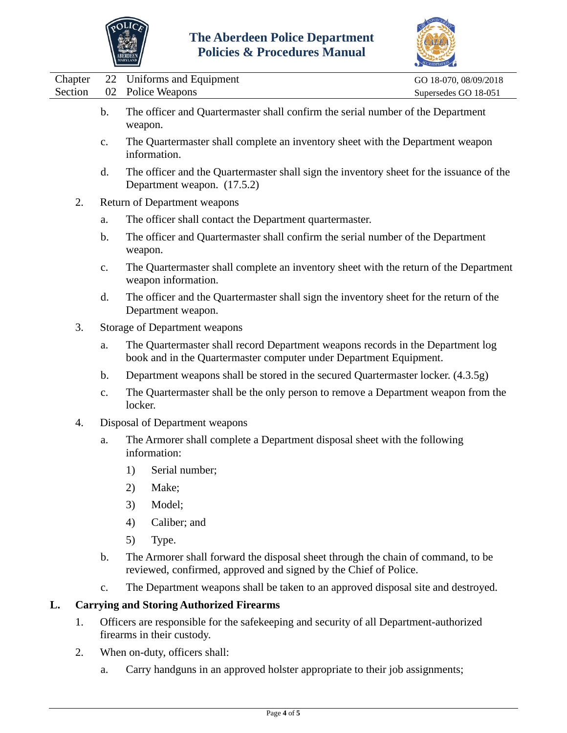



|                    |                | <b>Letter Controller</b>                                                                                                                              | ACCREDITATION                                 |
|--------------------|----------------|-------------------------------------------------------------------------------------------------------------------------------------------------------|-----------------------------------------------|
| Chapter<br>Section | 22<br>02       | Uniforms and Equipment<br>Police Weapons                                                                                                              | GO 18-070, 08/09/2018<br>Supersedes GO 18-051 |
|                    | $b$ .          | The officer and Quartermaster shall confirm the serial number of the Department<br>weapon.                                                            |                                               |
|                    | $\mathbf{c}$ . | The Quartermaster shall complete an inventory sheet with the Department weapon<br>information.                                                        |                                               |
|                    | d.             | The officer and the Quartermaster shall sign the inventory sheet for the issuance of the<br>Department weapon. (17.5.2)                               |                                               |
| 2.                 |                | Return of Department weapons                                                                                                                          |                                               |
|                    | a.             | The officer shall contact the Department quartermaster.                                                                                               |                                               |
|                    | $\mathbf b$ .  | The officer and Quartermaster shall confirm the serial number of the Department<br>weapon.                                                            |                                               |
|                    | $C_{\bullet}$  | The Quartermaster shall complete an inventory sheet with the return of the Department<br>weapon information.                                          |                                               |
|                    | d.             | The officer and the Quartermaster shall sign the inventory sheet for the return of the<br>Department weapon.                                          |                                               |
| 3.                 |                | <b>Storage of Department weapons</b>                                                                                                                  |                                               |
|                    | a.             | The Quartermaster shall record Department weapons records in the Department log<br>book and in the Quartermaster computer under Department Equipment. |                                               |
|                    | b.             | Department weapons shall be stored in the secured Quartermaster locker. (4.3.5g)                                                                      |                                               |
|                    | $C_{\bullet}$  | The Quartermaster shall be the only person to remove a Department weapon from the<br>locker.                                                          |                                               |
| 4.                 |                | Disposal of Department weapons                                                                                                                        |                                               |
|                    | a.             | The Armorer shall complete a Department disposal sheet with the following<br>information:                                                             |                                               |
|                    |                | Serial number;<br>1)                                                                                                                                  |                                               |
|                    |                | 2)<br>Make;                                                                                                                                           |                                               |
|                    |                | Model;<br>3)                                                                                                                                          |                                               |
|                    |                | Caliber; and<br>4)                                                                                                                                    |                                               |
|                    |                | 5)<br>Type.                                                                                                                                           |                                               |
|                    | b.             | The Armorer shall forward the disposal sheet through the chain of command, to be<br>reviewed, confirmed, approved and signed by the Chief of Police.  |                                               |
|                    | $\mathbf{c}$ . | The Department weapons shall be taken to an approved disposal site and destroyed.                                                                     |                                               |
| L.                 |                | <b>Carrying and Storing Authorized Firearms</b>                                                                                                       |                                               |
| 1.                 |                | Officers are responsible for the safekeeping and security of all Department-authorized<br>firearms in their custody.                                  |                                               |
|                    |                |                                                                                                                                                       |                                               |

- 2. When on-duty, officers shall:
	- a. Carry handguns in an approved holster appropriate to their job assignments;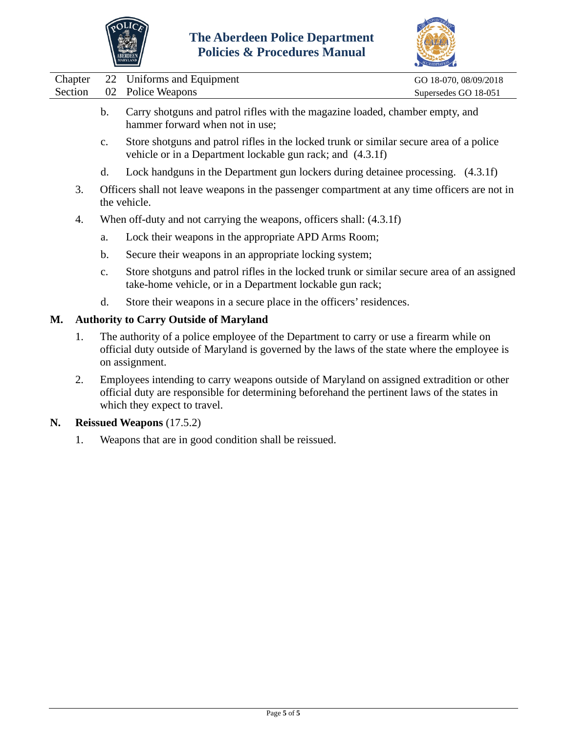



| Chapter | 22             | Uniforms and Equipment                                                                                                                                | GO 18-070, 08/09/2018 |  |  |
|---------|----------------|-------------------------------------------------------------------------------------------------------------------------------------------------------|-----------------------|--|--|
| Section | 02             | Police Weapons                                                                                                                                        | Supersedes GO 18-051  |  |  |
|         | $\mathbf{b}$ . | Carry shotguns and patrol rifles with the magazine loaded, chamber empty, and<br>hammer forward when not in use;                                      |                       |  |  |
|         | $\mathbf{c}$ . | Store shotguns and patrol rifles in the locked trunk or similar secure area of a police<br>vehicle or in a Department lockable gun rack; and (4.3.1f) |                       |  |  |
|         | d.             | Lock handguns in the Department gun lockers during detainee processing. (4.3.1f)                                                                      |                       |  |  |
| 3.      |                | Officers shall not leave weapons in the passenger compartment at any time officers are not in<br>the vehicle.                                         |                       |  |  |
| 4.      |                | When off-duty and not carrying the weapons, officers shall: (4.3.1f)                                                                                  |                       |  |  |
|         | a.             | Lock their weapons in the appropriate APD Arms Room;                                                                                                  |                       |  |  |
|         |                |                                                                                                                                                       |                       |  |  |

- b. Secure their weapons in an appropriate locking system;
- c. Store shotguns and patrol rifles in the locked trunk or similar secure area of an assigned take-home vehicle, or in a Department lockable gun rack;
- d. Store their weapons in a secure place in the officers' residences.

# **M. Authority to Carry Outside of Maryland**

- 1. The authority of a police employee of the Department to carry or use a firearm while on official duty outside of Maryland is governed by the laws of the state where the employee is on assignment.
- 2. Employees intending to carry weapons outside of Maryland on assigned extradition or other official duty are responsible for determining beforehand the pertinent laws of the states in which they expect to travel.

### **N. Reissued Weapons** (17.5.2)

1. Weapons that are in good condition shall be reissued.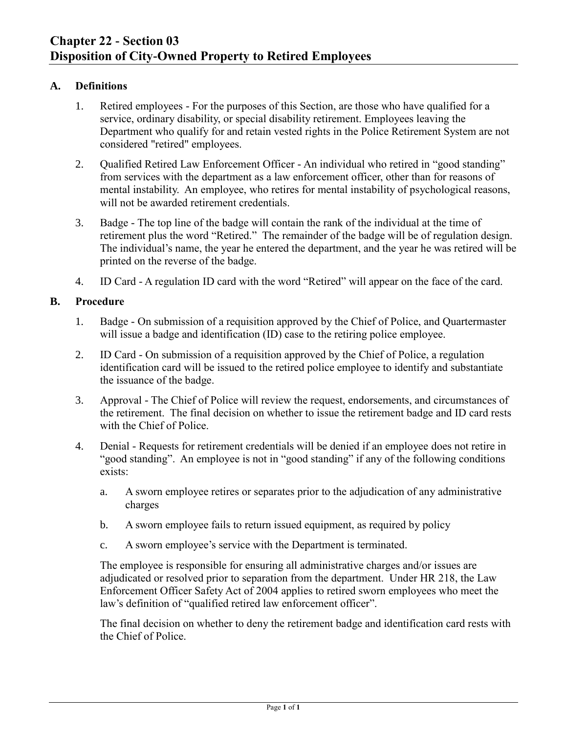### <span id="page-12-0"></span>**A. Definitions**

- 1. Retired employees For the purposes of this Section, are those who have qualified for a service, ordinary disability, or special disability retirement. Employees leaving the Department who qualify for and retain vested rights in the Police Retirement System are not considered "retired" employees.
- 2. Qualified Retired Law Enforcement Officer An individual who retired in "good standing" from services with the department as a law enforcement officer, other than for reasons of mental instability. An employee, who retires for mental instability of psychological reasons, will not be awarded retirement credentials.
- 3. Badge The top line of the badge will contain the rank of the individual at the time of retirement plus the word "Retired." The remainder of the badge will be of regulation design. The individual's name, the year he entered the department, and the year he was retired will be printed on the reverse of the badge.
- 4. ID Card A regulation ID card with the word "Retired" will appear on the face of the card.

### **B. Procedure**

- 1. Badge On submission of a requisition approved by the Chief of Police, and Quartermaster will issue a badge and identification *(ID)* case to the retiring police employee.
- 2. ID Card On submission of a requisition approved by the Chief of Police, a regulation identification card will be issued to the retired police employee to identify and substantiate the issuance of the badge.
- 3. Approval The Chief of Police will review the request, endorsements, and circumstances of the retirement. The final decision on whether to issue the retirement badge and ID card rests with the Chief of Police.
- 4. Denial Requests for retirement credentials will be denied if an employee does not retire in "good standing". An employee is not in "good standing" if any of the following conditions exists:
	- a. A sworn employee retires or separates prior to the adjudication of any administrative charges
	- b. A sworn employee fails to return issued equipment, as required by policy
	- c. A sworn employee's service with the Department is terminated.

The employee is responsible for ensuring all administrative charges and/or issues are adjudicated or resolved prior to separation from the department. Under HR 218, the Law Enforcement Officer Safety Act of 2004 applies to retired sworn employees who meet the law's definition of "qualified retired law enforcement officer".

The final decision on whether to deny the retirement badge and identification card rests with the Chief of Police.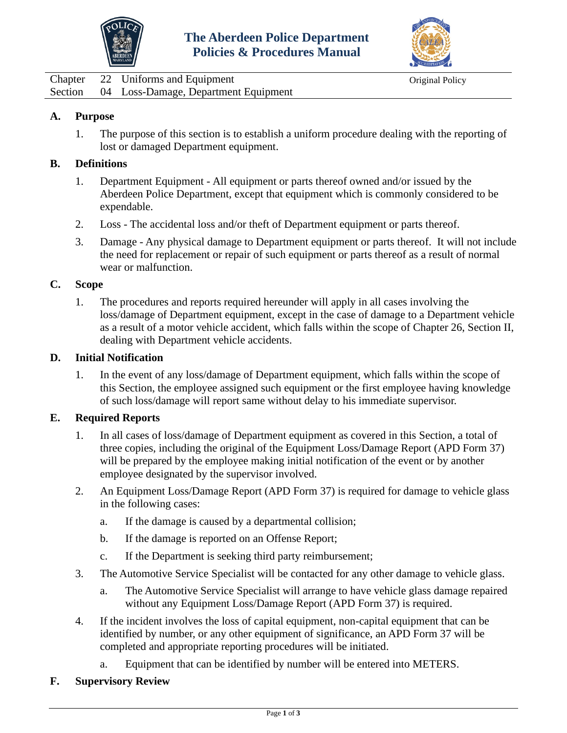



<span id="page-13-0"></span>Chapter 22 Uniforms and Equipment Original Policy Section 04 Loss-Damage, Department Equipment

# **A. Purpose**

1. The purpose of this section is to establish a uniform procedure dealing with the reporting of lost or damaged Department equipment.

### **B. Definitions**

- 1. Department Equipment All equipment or parts thereof owned and/or issued by the Aberdeen Police Department, except that equipment which is commonly considered to be expendable.
- 2. Loss The accidental loss and/or theft of Department equipment or parts thereof.
- 3. Damage Any physical damage to Department equipment or parts thereof. It will not include the need for replacement or repair of such equipment or parts thereof as a result of normal wear or malfunction.

### **C. Scope**

1. The procedures and reports required hereunder will apply in all cases involving the loss/damage of Department equipment, except in the case of damage to a Department vehicle as a result of a motor vehicle accident, which falls within the scope of Chapter 26, Section II, dealing with Department vehicle accidents.

### **D. Initial Notification**

1. In the event of any loss/damage of Department equipment, which falls within the scope of this Section, the employee assigned such equipment or the first employee having knowledge of such loss/damage will report same without delay to his immediate supervisor.

### **E. Required Reports**

- 1. In all cases of loss/damage of Department equipment as covered in this Section, a total of three copies, including the original of the Equipment Loss/Damage Report (APD Form 37) will be prepared by the employee making initial notification of the event or by another employee designated by the supervisor involved.
- 2. An Equipment Loss/Damage Report (APD Form 37) is required for damage to vehicle glass in the following cases:
	- a. If the damage is caused by a departmental collision;
	- b. If the damage is reported on an Offense Report;
	- c. If the Department is seeking third party reimbursement;
- 3. The Automotive Service Specialist will be contacted for any other damage to vehicle glass.
	- a. The Automotive Service Specialist will arrange to have vehicle glass damage repaired without any Equipment Loss/Damage Report (APD Form 37) is required.
- 4. If the incident involves the loss of capital equipment, non-capital equipment that can be identified by number, or any other equipment of significance, an APD Form 37 will be completed and appropriate reporting procedures will be initiated.
	- a. Equipment that can be identified by number will be entered into METERS.
- **F. Supervisory Review**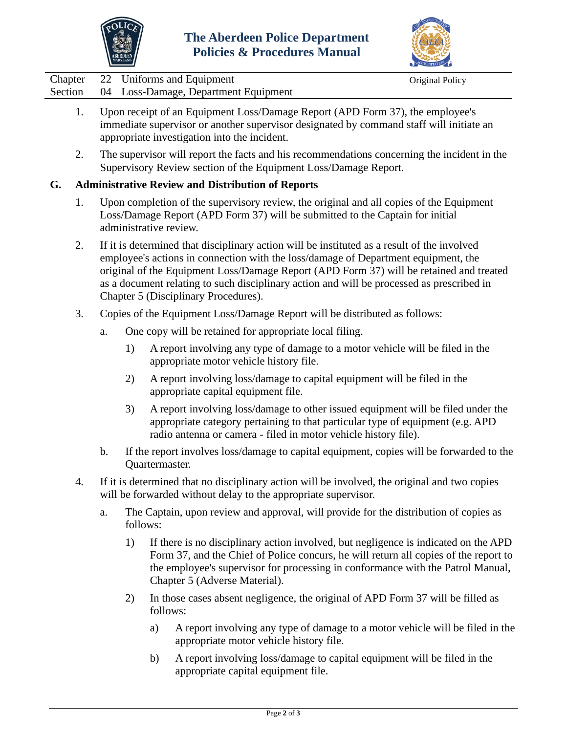



|  | Chapter 22 Uniforms and Equipment            | Original Policy |
|--|----------------------------------------------|-----------------|
|  | Section 04 Loss-Damage, Department Equipment |                 |

- 1. Upon receipt of an Equipment Loss/Damage Report (APD Form 37), the employee's immediate supervisor or another supervisor designated by command staff will initiate an appropriate investigation into the incident.
- 2. The supervisor will report the facts and his recommendations concerning the incident in the Supervisory Review section of the Equipment Loss/Damage Report.

## **G. Administrative Review and Distribution of Reports**

- 1. Upon completion of the supervisory review, the original and all copies of the Equipment Loss/Damage Report (APD Form 37) will be submitted to the Captain for initial administrative review.
- 2. If it is determined that disciplinary action will be instituted as a result of the involved employee's actions in connection with the loss/damage of Department equipment, the original of the Equipment Loss/Damage Report (APD Form 37) will be retained and treated as a document relating to such disciplinary action and will be processed as prescribed in Chapter 5 (Disciplinary Procedures).
- 3. Copies of the Equipment Loss/Damage Report will be distributed as follows:
	- a. One copy will be retained for appropriate local filing.
		- 1) A report involving any type of damage to a motor vehicle will be filed in the appropriate motor vehicle history file.
		- 2) A report involving loss/damage to capital equipment will be filed in the appropriate capital equipment file.
		- 3) A report involving loss/damage to other issued equipment will be filed under the appropriate category pertaining to that particular type of equipment (e.g. APD radio antenna or camera - filed in motor vehicle history file).
	- b. If the report involves loss/damage to capital equipment, copies will be forwarded to the Quartermaster.
- 4. If it is determined that no disciplinary action will be involved, the original and two copies will be forwarded without delay to the appropriate supervisor.
	- a. The Captain, upon review and approval, will provide for the distribution of copies as follows:
		- 1) If there is no disciplinary action involved, but negligence is indicated on the APD Form 37, and the Chief of Police concurs, he will return all copies of the report to the employee's supervisor for processing in conformance with the Patrol Manual, Chapter 5 (Adverse Material).
		- 2) In those cases absent negligence, the original of APD Form 37 will be filled as follows:
			- a) A report involving any type of damage to a motor vehicle will be filed in the appropriate motor vehicle history file.
			- b) A report involving loss/damage to capital equipment will be filed in the appropriate capital equipment file.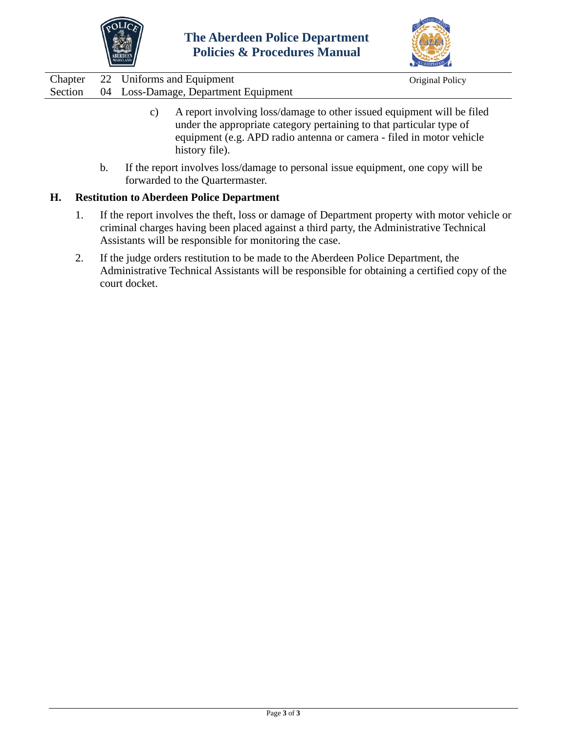



|  | Chapter 22 Uniforms and Equipment            | Original Policy |
|--|----------------------------------------------|-----------------|
|  | Section 04 Loss-Damage, Department Equipment |                 |

- c) A report involving loss/damage to other issued equipment will be filed under the appropriate category pertaining to that particular type of equipment (e.g. APD radio antenna or camera - filed in motor vehicle history file).
- b. If the report involves loss/damage to personal issue equipment, one copy will be forwarded to the Quartermaster.

### **H. Restitution to Aberdeen Police Department**

- 1. If the report involves the theft, loss or damage of Department property with motor vehicle or criminal charges having been placed against a third party, the Administrative Technical Assistants will be responsible for monitoring the case.
- 2. If the judge orders restitution to be made to the Aberdeen Police Department, the Administrative Technical Assistants will be responsible for obtaining a certified copy of the court docket.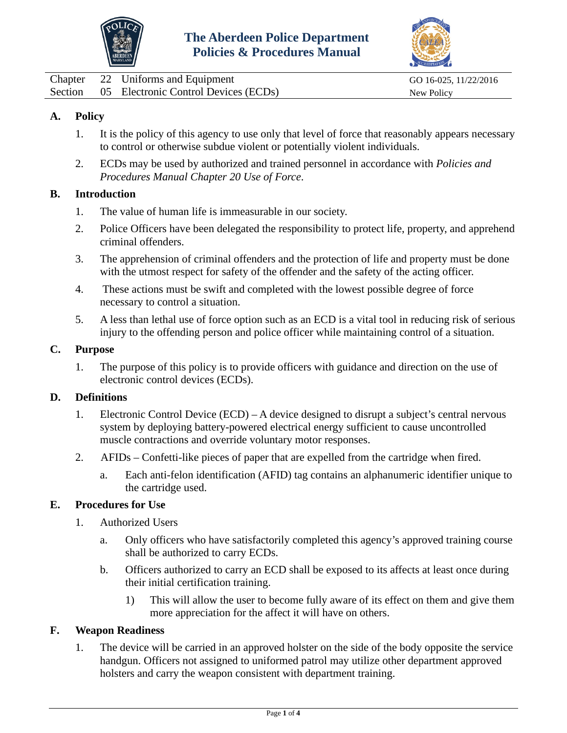



<span id="page-16-0"></span>

|  | Chapter 22 Uniforms and Equipment            | GO 16-025, 11/22/2016 |
|--|----------------------------------------------|-----------------------|
|  | Section 05 Electronic Control Devices (ECDs) | New Policy            |

## **A. Policy**

- 1. It is the policy of this agency to use only that level of force that reasonably appears necessary to control or otherwise subdue violent or potentially violent individuals.
- 2. ECDs may be used by authorized and trained personnel in accordance with *Policies and Procedures Manual Chapter 20 Use of Force*.

#### **B. Introduction**

- 1. The value of human life is immeasurable in our society.
- 2. Police Officers have been delegated the responsibility to protect life, property, and apprehend criminal offenders.
- 3. The apprehension of criminal offenders and the protection of life and property must be done with the utmost respect for safety of the offender and the safety of the acting officer.
- 4. These actions must be swift and completed with the lowest possible degree of force necessary to control a situation.
- 5. A less than lethal use of force option such as an ECD is a vital tool in reducing risk of serious injury to the offending person and police officer while maintaining control of a situation.

#### **C. Purpose**

1. The purpose of this policy is to provide officers with guidance and direction on the use of electronic control devices (ECDs).

#### **D. Definitions**

- 1. Electronic Control Device (ECD) A device designed to disrupt a subject's central nervous system by deploying battery-powered electrical energy sufficient to cause uncontrolled muscle contractions and override voluntary motor responses.
- 2. AFIDs Confetti-like pieces of paper that are expelled from the cartridge when fired.
	- a. Each anti-felon identification (AFID) tag contains an alphanumeric identifier unique to the cartridge used.

#### **E. Procedures for Use**

- 1. Authorized Users
	- a. Only officers who have satisfactorily completed this agency's approved training course shall be authorized to carry ECDs.
	- b. Officers authorized to carry an ECD shall be exposed to its affects at least once during their initial certification training.
		- 1) This will allow the user to become fully aware of its effect on them and give them more appreciation for the affect it will have on others.

### **F. Weapon Readiness**

1. The device will be carried in an approved holster on the side of the body opposite the service handgun. Officers not assigned to uniformed patrol may utilize other department approved holsters and carry the weapon consistent with department training.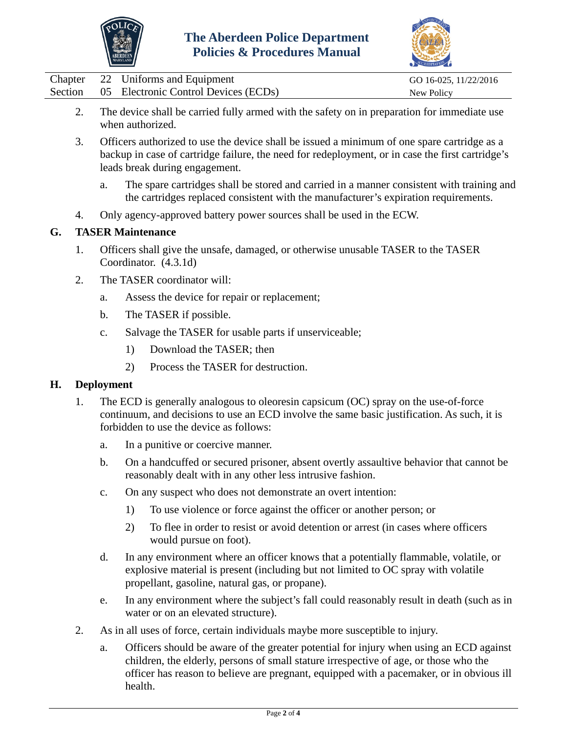



|  | Chapter 22 Uniforms and Equipment            | GO 16-025, 11/22/2016 |
|--|----------------------------------------------|-----------------------|
|  | Section 05 Electronic Control Devices (ECDs) | New Policy            |

- 2. The device shall be carried fully armed with the safety on in preparation for immediate use when authorized.
- 3. Officers authorized to use the device shall be issued a minimum of one spare cartridge as a backup in case of cartridge failure, the need for redeployment, or in case the first cartridge's leads break during engagement.
	- a. The spare cartridges shall be stored and carried in a manner consistent with training and the cartridges replaced consistent with the manufacturer's expiration requirements.
- 4. Only agency-approved battery power sources shall be used in the ECW.

## **G. TASER Maintenance**

- 1. Officers shall give the unsafe, damaged, or otherwise unusable TASER to the TASER Coordinator. (4.3.1d)
- 2. The TASER coordinator will:
	- a. Assess the device for repair or replacement;
	- b. The TASER if possible.
	- c. Salvage the TASER for usable parts if unserviceable;
		- 1) Download the TASER; then
		- 2) Process the TASER for destruction.

### **H. Deployment**

- 1. The ECD is generally analogous to oleoresin capsicum (OC) spray on the use-of-force continuum, and decisions to use an ECD involve the same basic justification. As such, it is forbidden to use the device as follows:
	- a. In a punitive or coercive manner.
	- b. On a handcuffed or secured prisoner, absent overtly assaultive behavior that cannot be reasonably dealt with in any other less intrusive fashion.
	- c. On any suspect who does not demonstrate an overt intention:
		- 1) To use violence or force against the officer or another person; or
		- 2) To flee in order to resist or avoid detention or arrest (in cases where officers would pursue on foot).
	- d. In any environment where an officer knows that a potentially flammable, volatile, or explosive material is present (including but not limited to OC spray with volatile propellant, gasoline, natural gas, or propane).
	- e. In any environment where the subject's fall could reasonably result in death (such as in water or on an elevated structure).
- 2. As in all uses of force, certain individuals maybe more susceptible to injury.
	- a. Officers should be aware of the greater potential for injury when using an ECD against children, the elderly, persons of small stature irrespective of age, or those who the officer has reason to believe are pregnant, equipped with a pacemaker, or in obvious ill health.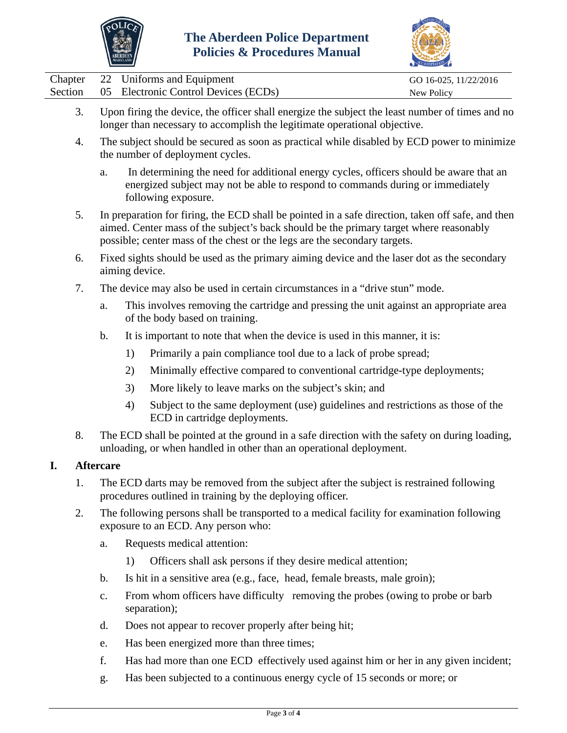



|  | Chapter 22 Uniforms and Equipment            | GO 16-025, 11/22/2016 |
|--|----------------------------------------------|-----------------------|
|  | Section 05 Electronic Control Devices (ECDs) | New Policy            |

- 3. Upon firing the device, the officer shall energize the subject the least number of times and no longer than necessary to accomplish the legitimate operational objective.
- 4. The subject should be secured as soon as practical while disabled by ECD power to minimize the number of deployment cycles.
	- a. In determining the need for additional energy cycles, officers should be aware that an energized subject may not be able to respond to commands during or immediately following exposure.
- 5. In preparation for firing, the ECD shall be pointed in a safe direction, taken off safe, and then aimed. Center mass of the subject's back should be the primary target where reasonably possible; center mass of the chest or the legs are the secondary targets.
- 6. Fixed sights should be used as the primary aiming device and the laser dot as the secondary aiming device.
- 7. The device may also be used in certain circumstances in a "drive stun" mode.
	- a. This involves removing the cartridge and pressing the unit against an appropriate area of the body based on training.
	- b. It is important to note that when the device is used in this manner, it is:
		- 1) Primarily a pain compliance tool due to a lack of probe spread;
		- 2) Minimally effective compared to conventional cartridge-type deployments;
		- 3) More likely to leave marks on the subject's skin; and
		- 4) Subject to the same deployment (use) guidelines and restrictions as those of the ECD in cartridge deployments.
- 8. The ECD shall be pointed at the ground in a safe direction with the safety on during loading, unloading, or when handled in other than an operational deployment.

### **I. Aftercare**

- 1. The ECD darts may be removed from the subject after the subject is restrained following procedures outlined in training by the deploying officer.
- 2. The following persons shall be transported to a medical facility for examination following exposure to an ECD. Any person who:
	- a. Requests medical attention:
		- 1) Officers shall ask persons if they desire medical attention;
	- b. Is hit in a sensitive area (e.g., face, head, female breasts, male groin);
	- c. From whom officers have difficulty removing the probes (owing to probe or barb separation);
	- d. Does not appear to recover properly after being hit;
	- e. Has been energized more than three times;
	- f. Has had more than one ECD effectively used against him or her in any given incident;
	- g. Has been subjected to a continuous energy cycle of 15 seconds or more; or